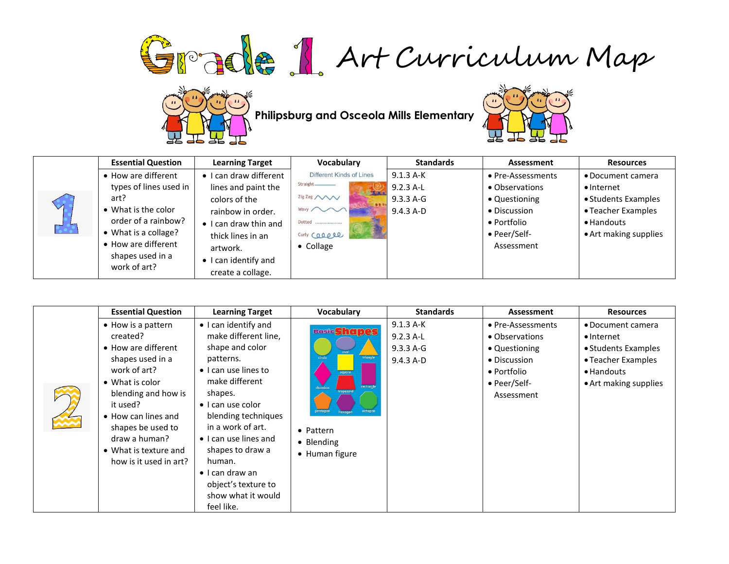Grade 1 Art Curriculum Map



**Philipsburg and Osceola Mills Elementary**<br> **Philipsburg and Osceola Mills Elementary** 



|                               | <b>Essential Question</b> | <b>Learning Target</b>        | Vocabulary                            | <b>Standards</b> | Assessment        | <b>Resources</b>      |
|-------------------------------|---------------------------|-------------------------------|---------------------------------------|------------------|-------------------|-----------------------|
|                               | • How are different       | • I can draw different        | Different Kinds of Lines              | $9.1.3 A-K$      | • Pre-Assessments | • Document camera     |
|                               | types of lines used in    | lines and paint the           | Straight.<br><b>STATE OF BUILDING</b> | $9.2.3$ A-L      | • Observations    | • Internet            |
|                               | art?                      | colors of the                 | Zig Zag /                             | 9.3.3 A-G        | • Questioning     | • Students Examples   |
|                               | • What is the color       | rainbow in order.             | Wavy ~~                               | 9.4.3 A-D        | • Discussion      | • Teacher Examples    |
|                               | order of a rainbow?       | $\bullet$ I can draw thin and | Dotted                                |                  | • Portfolio       | • Handouts            |
| $\bullet$ $\bullet$ $\bullet$ | • What is a collage?      | thick lines in an             | Curly Caapee                          |                  | • Peer/Self-      | • Art making supplies |
|                               | • How are different       | artwork.                      | $\bullet$ Collage                     |                  | Assessment        |                       |
|                               | shapes used in a          | • I can identify and          |                                       |                  |                   |                       |
|                               | work of art?              | create a collage.             |                                       |                  |                   |                       |

| <b>Essential Question</b>                                                                                                                                                                                                                                               | <b>Learning Target</b>                                                                                                                                                                                                                                                                                                                                          | <b>Vocabulary</b>                                                                                                                                | <b>Standards</b>                                     | Assessment                                                                                                        | <b>Resources</b>                                                                                                            |
|-------------------------------------------------------------------------------------------------------------------------------------------------------------------------------------------------------------------------------------------------------------------------|-----------------------------------------------------------------------------------------------------------------------------------------------------------------------------------------------------------------------------------------------------------------------------------------------------------------------------------------------------------------|--------------------------------------------------------------------------------------------------------------------------------------------------|------------------------------------------------------|-------------------------------------------------------------------------------------------------------------------|-----------------------------------------------------------------------------------------------------------------------------|
| • How is a pattern<br>created?<br>• How are different<br>shapes used in a<br>work of art?<br>• What is color<br>blending and how is<br>it used?<br>• How can lines and<br>shapes be used to<br>draw a human?<br>$\bullet$ What is texture and<br>how is it used in art? | • I can identify and<br>make different line,<br>shape and color<br>patterns.<br>$\bullet$ I can use lines to<br>make different<br>shapes.<br>$\bullet$ I can use color<br>blending techniques<br>in a work of art.<br>• I can use lines and<br>shapes to draw a<br>human.<br>$\bullet$ I can draw an<br>object's texture to<br>show what it would<br>feel like. | <b>Basic Shapes</b><br>circle<br>triangle<br>square<br>rectangle<br>rhombu:<br>trapezoid<br>octagon<br>• Pattern<br>• Blending<br>• Human figure | $9.1.3 A-K$<br>$9.2.3$ A-L<br>9.3.3 A-G<br>9.4.3 A-D | • Pre-Assessments<br>• Observations<br>• Questioning<br>• Discussion<br>• Portfolio<br>• Peer/Self-<br>Assessment | • Document camera<br>$\bullet$ Internet<br>• Students Examples<br>• Teacher Examples<br>• Handouts<br>• Art making supplies |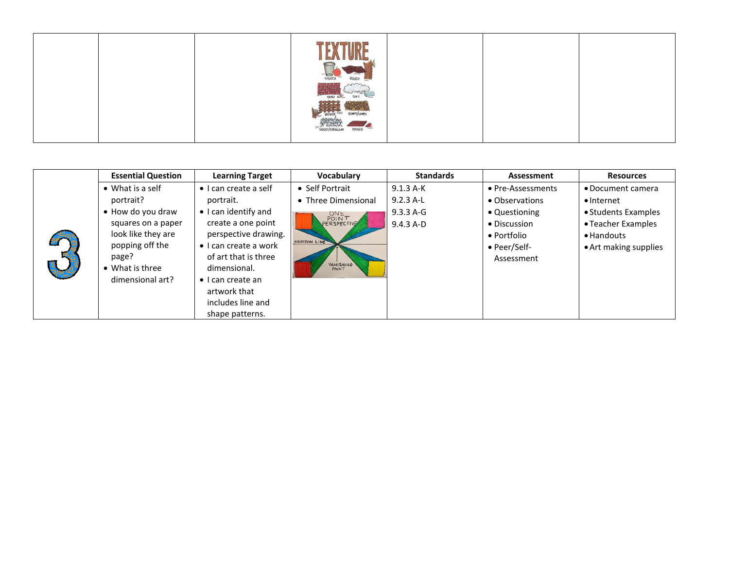| SHOOTH<br>ROUGH                              |  |  |
|----------------------------------------------|--|--|
| HARE                                         |  |  |
| SAGGED/SHREGULAR<br>RIDGED<br><b>Take of</b> |  |  |
|                                              |  |  |

|  | <b>Essential Question</b> | <b>Learning Target</b>        | Vocabulary          | <b>Standards</b> | Assessment        | <b>Resources</b>      |
|--|---------------------------|-------------------------------|---------------------|------------------|-------------------|-----------------------|
|  | • What is a self          | $\bullet$ I can create a self | • Self Portrait     | $9.1.3 A-K$      | • Pre-Assessments | • Document camera     |
|  | portrait?                 | portrait.                     | • Three Dimensional | $9.2.3$ A-L      | • Observations    | $\bullet$ Internet    |
|  | • How do you draw         | • I can identify and          |                     | $9.3.3 A - G$    | • Questioning     | • Students Examples   |
|  | squares on a paper        | create a one point            | ONE<br>POINT        | $9.4.3 A-D$      | • Discussion      | • Teacher Examples    |
|  | look like they are        | perspective drawing.          | HORIZON LINE        |                  | • Portfolio       | $\bullet$ Handouts    |
|  | popping off the           | $\bullet$ I can create a work |                     |                  | • Peer/Self-      | • Art making supplies |
|  | page?                     | of art that is three          | <b>VANISHING</b>    |                  | Assessment        |                       |
|  | • What is three           | dimensional.                  | POINT               |                  |                   |                       |
|  | dimensional art?          | $\bullet$ I can create an     |                     |                  |                   |                       |
|  |                           | artwork that                  |                     |                  |                   |                       |
|  |                           | includes line and             |                     |                  |                   |                       |
|  |                           | shape patterns.               |                     |                  |                   |                       |